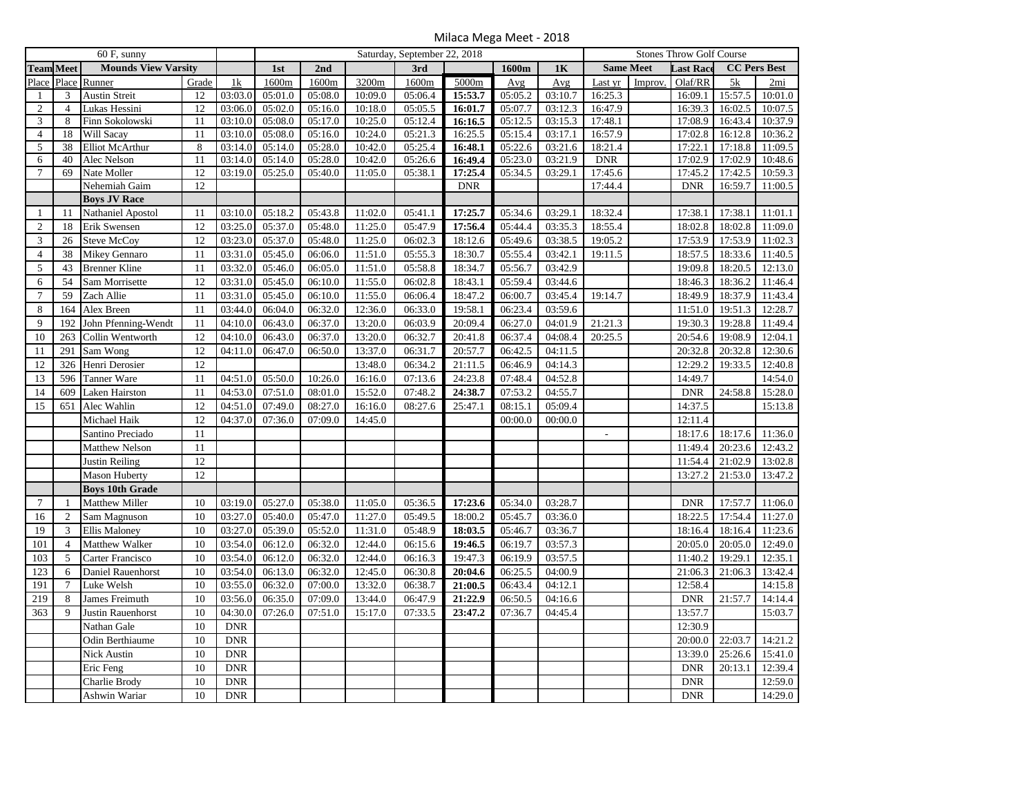Milaca Mega Meet - 2018

| $60$ F, sunny  |                                                |                        |                 |            | Saturday, September 22, 2018 |         |         |         |            | <b>Stones Throw Golf Course</b> |         |                          |         |                      |         |                     |
|----------------|------------------------------------------------|------------------------|-----------------|------------|------------------------------|---------|---------|---------|------------|---------------------------------|---------|--------------------------|---------|----------------------|---------|---------------------|
|                | <b>Team Meet</b><br><b>Mounds View Varsity</b> |                        |                 |            | 1st                          | 2nd     |         | 3rd     |            | 1600m                           | 1K      | <b>Same Meet</b>         |         | Last Race            |         | <b>CC Pers Best</b> |
| Place          | Place                                          | Runner                 | Grade           | 1k         | 1600m                        | 1600m   | 3200m   | 1600m   | 5000m      | Avg                             | Avg     | Last yr                  | Improv. | Olaf/RR              | 5k      | 2mi                 |
| 1              | 3                                              | <b>Austin Streit</b>   | 12              | 03:03.0    | 05:01.0                      | 05:08.0 | 10:09.0 | 05:06.4 | 15:53.7    | 05:05.2                         | 03:10.7 | 16:25.3                  |         | 16:09.1              | 15:57.5 | 10:01.0             |
| $\overline{c}$ | $\overline{4}$                                 | Lukas Hessini          | 12              | 03:06.0    | 05:02.0                      | 05:16.0 | 10:18.0 | 05:05.5 | 16:01.7    | 05:07.7                         | 03:12.3 | 16:47.9                  |         | 16:39.3              | 16:02.5 | 10:07.5             |
| 3              | 8                                              | Finn Sokolowski        | 11              | 03:10.0    | 05:08.0                      | 05:17.0 | 10:25.0 | 05:12.4 | 16:16.5    | 05:12.5                         | 03:15.3 | 17:48.1                  |         | 17:08.9              | 16:43.4 | 10:37.9             |
| $\overline{4}$ | 18                                             | Will Sacay             | 11              | 03:10.0    | 05:08.0                      | 05:16.0 | 10:24.0 | 05:21.3 | 16:25.5    | 05:15.4                         | 03:17.1 | 16:57.9                  |         | 17:02.8              | 16:12.8 | 10:36.2             |
| 5              | 38                                             | <b>Elliot McArthur</b> | 8               | 03:14.0    | 05:14.0                      | 05:28.0 | 10:42.0 | 05:25.4 | 16:48.1    | 05:22.6                         | 03:21.6 | 18:21.4                  |         | $\overline{17:22.1}$ | 17:18.8 | 11:09.5             |
| 6              | 40                                             | Alec Nelson            | 11              | 03:14.0    | 05:14.0                      | 05:28.0 | 10:42.0 | 05:26.6 | 16:49.4    | 05:23.0                         | 03:21.9 | <b>DNR</b>               |         | 17:02.9              | 17:02.9 | 10:48.6             |
| $\overline{7}$ | 69                                             | Nate Moller            | 12              | 03:19.0    | 05:25.0                      | 05:40.0 | 11:05.0 | 05:38.1 | 17:25.4    | 05:34.5                         | 03:29.1 | 17:45.6                  |         | 17:45.2              | 17:42.5 | 10:59.3             |
|                |                                                | Nehemiah Gaim          | 12              |            |                              |         |         |         | <b>DNR</b> |                                 |         | 17:44.4                  |         | <b>DNR</b>           | 16:59.7 | 11:00.5             |
|                |                                                | <b>Boys JV Race</b>    |                 |            |                              |         |         |         |            |                                 |         |                          |         |                      |         |                     |
| -1             | 11                                             | Nathaniel Apostol      | 11              | 03:10.0    | 05:18.2                      | 05:43.8 | 11:02.0 | 05:41.1 | 17:25.7    | 05:34.6                         | 03:29.1 | 18:32.4                  |         | 17:38.1              | 17:38.1 | 11:01.1             |
| $\overline{c}$ | 18                                             | Erik Swensen           | 12              | 03:25.0    | 05:37.0                      | 05:48.0 | 11:25.0 | 05:47.9 | 17:56.4    | 05:44.4                         | 03:35.3 | 18:55.4                  |         | 18:02.8              | 18:02.8 | 11:09.0             |
| 3              | 26                                             | <b>Steve McCoy</b>     | 12              | 03:23.0    | 05:37.0                      | 05:48.0 | 11:25.0 | 06:02.3 | 18:12.6    | 05:49.6                         | 03:38.5 | 19:05.2                  |         | 17:53.9              | 17:53.9 | 11:02.3             |
| $\overline{4}$ | 38                                             | Mikey Gennaro          | 11              | 03:31.0    | 05:45.0                      | 06:06.0 | 11:51.0 | 05:55.3 | 18:30.7    | 05:55.4                         | 03:42.1 | 19:11.5                  |         | 18:57.5              | 18:33.6 | 11:40.5             |
| 5              | 43                                             | <b>Brenner Kline</b>   | 11              | 03:32.0    | 05:46.0                      | 06:05.0 | 11:51.0 | 05:58.8 | 18:34.7    | 05:56.7                         | 03:42.9 |                          |         | 19:09.8              | 18:20.5 | 12:13.0             |
| 6              | 54                                             | Sam Morrisette         | 12              | 03:31.0    | 05:45.0                      | 06:10.0 | 11:55.0 | 06:02.8 | 18:43.1    | 05:59.4                         | 03:44.6 |                          |         | 18:46.3              | 18:36.2 | 11:46.4             |
| $\overline{7}$ | 59                                             | Zach Allie             | 11              | 03:31.0    | 05:45.0                      | 06:10.0 | 11:55.0 | 06:06.4 | 18:47.2    | 06:00.7                         | 03:45.4 | 19:14.7                  |         | 18:49.9              | 18:37.9 | 11:43.4             |
| $\,8\,$        | 164                                            | Alex Breen             | 11              | 03:44.0    | 06:04.0                      | 06:32.0 | 12:36.0 | 06:33.0 | 19:58.1    | 06:23.4                         | 03:59.6 |                          |         | 11:51.0              | 19:51.3 | 12:28.7             |
| 9              | 192                                            | John Pfenning-Wendt    | 11              | 04:10.0    | 06:43.0                      | 06:37.0 | 13:20.0 | 06:03.9 | 20:09.4    | 06:27.0                         | 04:01.9 | 21:21.3                  |         | 19:30.3              | 19:28.8 | 11:49.4             |
| 10             | 263                                            | Collin Wentworth       | 12              | 04:10.0    | 06:43.0                      | 06:37.0 | 13:20.0 | 06:32.7 | 20:41.8    | 06:37.4                         | 04:08.4 | 20:25.5                  |         | 20:54.6              | 19:08.9 | 12:04.1             |
| 11             | 291                                            | Sam Wong               | 12              | 04:11.0    | 06:47.0                      | 06:50.0 | 13:37.0 | 06:31.7 | 20:57.7    | 06:42.5                         | 04:11.5 |                          |         | 20:32.8              | 20:32.8 | 12:30.6             |
| 12             | 326                                            | Henri Derosier         | 12              |            |                              |         | 13:48.0 | 06:34.2 | 21:11.5    | 06:46.9                         | 04:14.3 |                          |         | 12:29.2              | 19:33.5 | 12:40.8             |
| 13             | 596                                            | <b>Tanner Ware</b>     | 11              | 04:51.0    | 05:50.0                      | 10:26.0 | 16:16.0 | 07:13.6 | 24:23.8    | 07:48.4                         | 04:52.8 |                          |         | 14:49.7              |         | 14:54.0             |
| 14             | 609                                            | Laken Hairston         | 11              | 04:53.0    | 07:51.0                      | 08:01.0 | 15:52.0 | 07:48.2 | 24:38.7    | 07:53.2                         | 04:55.7 |                          |         | <b>DNR</b>           | 24:58.8 | 15:28.0             |
| 15             | 651                                            | Alec Wahlin            | 12              | 04:51.0    | 07:49.0                      | 08:27.0 | 16:16.0 | 08:27.6 | 25:47.1    | 08:15.1                         | 05:09.4 |                          |         | 14:37.5              |         | 15:13.8             |
|                |                                                | Michael Haik           | 12              | 04:37.0    | 07:36.0                      | 07:09.0 | 14:45.0 |         |            | 00:00.0                         | 00:00.0 |                          |         | 12:11.4              |         |                     |
|                |                                                | Santino Preciado       | 11              |            |                              |         |         |         |            |                                 |         | $\overline{\phantom{a}}$ |         | 18:17.6              | 18:17.6 | 11:36.0             |
|                |                                                | <b>Matthew Nelson</b>  | 11              |            |                              |         |         |         |            |                                 |         |                          |         | 11:49.4              | 20:23.6 | 12:43.2             |
|                |                                                | Justin Reiling         | $\overline{12}$ |            |                              |         |         |         |            |                                 |         |                          |         | 11:54.4              | 21:02.9 | 13:02.8             |
|                |                                                |                        |                 |            |                              |         |         |         |            |                                 |         |                          |         |                      |         |                     |
|                |                                                | <b>Mason Huberty</b>   | 12              |            |                              |         |         |         |            |                                 |         |                          |         | 13:27.2              | 21:53.0 | 13:47.2             |
|                |                                                | <b>Boys 10th Grade</b> |                 |            |                              |         |         |         |            |                                 |         |                          |         |                      |         |                     |
| $\tau$         | $\mathbf{1}$                                   | Matthew Miller         | 10              | 03:19.0    | 05:27.0                      | 05:38.0 | 11:05.0 | 05:36.5 | 17:23.6    | 05:34.0                         | 03:28.7 |                          |         | <b>DNR</b>           | 17:57.7 | 11:06.0             |
| 16             | $\overline{c}$                                 | Sam Magnuson           | 10              | 03:27.0    | 05:40.0                      | 05:47.0 | 11:27.0 | 05:49.5 | 18:00.2    | 05:45.7                         | 03:36.0 |                          |         | 18:22.5              | 17:54.4 | 11:27.0             |
| 19             | 3                                              | <b>Ellis Maloney</b>   | 10              | 03:27.0    | 05:39.0                      | 05:52.0 | 11:31.0 | 05:48.9 | 18:03.5    | 05:46.7                         | 03:36.7 |                          |         | 18:16.4              | 18:16.4 | 11:23.6             |
| 101            | $\overline{4}$                                 | Matthew Walker         | 10              | 03:54.0    | 06:12.0                      | 06:32.0 | 12:44.0 | 06:15.6 | 19:46.5    | 06:19.7                         | 03:57.3 |                          |         | 20:05.0              | 20:05.0 | 12:49.0             |
| 103            | 5                                              | Carter Francisco       | 10              | 03:54.0    | 06:12.0                      | 06:32.0 | 12:44.0 | 06:16.3 | 19:47.3    | 06:19.9                         | 03:57.5 |                          |         | 11:40.2              | 19:29.1 | 12:35.1             |
| 123            | 6                                              | Daniel Rauenhorst      | 10              | 03:54.0    | 06:13.0                      | 06:32.0 | 12:45.0 | 06:30.8 | 20:04.6    | 06:25.5                         | 04:00.9 |                          |         | 21:06.3              | 21:06.3 | 13:42.4             |
| 191            | $\overline{7}$                                 | Luke Welsh             | 10              | 03:55.0    | 06:32.0                      | 07:00.0 | 13:32.0 | 06:38.7 | 21:00.5    | 06:43.4                         | 04:12.1 |                          |         | 12:58.4              |         | 14:15.8             |
| 219            | 8                                              | James Freimuth         | 10              | 03:56.0    | 06:35.0                      | 07:09.0 | 13:44.0 | 06:47.9 | 21:22.9    | 06:50.5                         | 04:16.6 |                          |         | <b>DNR</b>           | 21:57.7 | 14:14.4             |
| 363            | $\mathbf{Q}$                                   | Justin Rauenhorst      | 10              | 04:30.0    | 07:26.0                      | 07:51.0 | 15:17.0 | 07:33.5 | 23:47.2    | 07:36.7                         | 04:45.4 |                          |         | 13:57.7              |         | 15:03.7             |
|                |                                                | Nathan Gale            | 10              | <b>DNR</b> |                              |         |         |         |            |                                 |         |                          |         | 12:30.9              |         |                     |
|                |                                                | Odin Berthiaume        | 10              | <b>DNR</b> |                              |         |         |         |            |                                 |         |                          |         | 20:00.0              | 22:03.7 | 14:21.2             |
|                |                                                | Nick Austin            | 10              | <b>DNR</b> |                              |         |         |         |            |                                 |         |                          |         | 13:39.0              | 25:26.6 | 15:41.0             |
|                |                                                | Eric Feng              | 10              | <b>DNR</b> |                              |         |         |         |            |                                 |         |                          |         | <b>DNR</b>           | 20:13.1 | 12:39.4             |
|                |                                                | Charlie Brody          | 10              | <b>DNR</b> |                              |         |         |         |            |                                 |         |                          |         | <b>DNR</b>           |         | 12:59.0             |
|                |                                                | Ashwin Wariar          | 10              | <b>DNR</b> |                              |         |         |         |            |                                 |         |                          |         | <b>DNR</b>           |         | 14:29.0             |